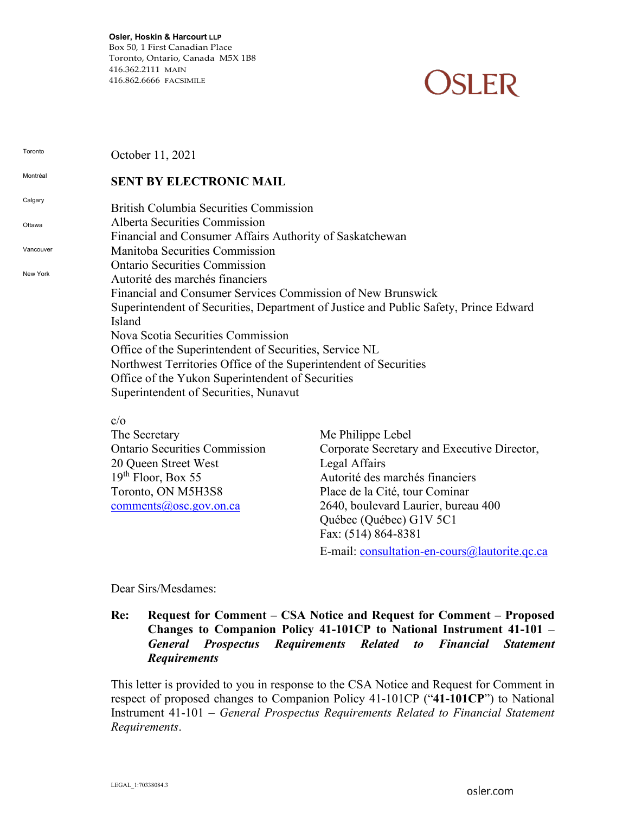**Osler, Hoskin & Harcourt LLP** Box 50, 1 First Canadian Place Toronto, Ontario, Canada M5X 1B8 416.362.2111 MAIN 416.862.6666 FACSIMILE

# **OSLER**

**Toronto** Montréal **Calgary** Ottawa Vancouver New York October 11, 2021 **SENT BY ELECTRONIC MAIL** British Columbia Securities Commission Alberta Securities Commission Financial and Consumer Affairs Authority of Saskatchewan Manitoba Securities Commission Ontario Securities Commission Autorité des marchés financiers Financial and Consumer Services Commission of New Brunswick Superintendent of Securities, Department of Justice and Public Safety, Prince Edward Island Nova Scotia Securities Commission Office of the Superintendent of Securities, Service NL Northwest Territories Office of the Superintendent of Securities Office of the Yukon Superintendent of Securities Superintendent of Securities, Nunavut c/o

| The Secretary                        | Me Philippe Lebel                           |
|--------------------------------------|---------------------------------------------|
| <b>Ontario Securities Commission</b> | Corporate Secretary and Executive Director, |
| 20 Queen Street West                 | Legal Affairs                               |
| $19th$ Floor, Box 55                 | Autorité des marchés financiers             |
| Toronto, ON M5H3S8                   | Place de la Cité, tour Cominar              |
| $comments(a)$ osc.gov.on.ca          | 2640, boulevard Laurier, bureau 400         |
|                                      | Québec (Québec) G1V 5C1                     |
|                                      | Fax: (514) 864-8381                         |
|                                      |                                             |

E-mail: [consultation-en-cours@lautorite.qc.ca](mailto:consultation-en-cours@lautorite.qc.ca)

Dear Sirs/Mesdames:

### **Re: Request for Comment – CSA Notice and Request for Comment – Proposed Changes to Companion Policy 41-101CP to National Instrument 41-101 –** *General Prospectus Requirements Related to Financial Statement Requirements*

This letter is provided to you in response to the CSA Notice and Request for Comment in respect of proposed changes to Companion Policy 41-101CP ("**41-101CP**") to National Instrument 41-101 – *General Prospectus Requirements Related to Financial Statement Requirements*.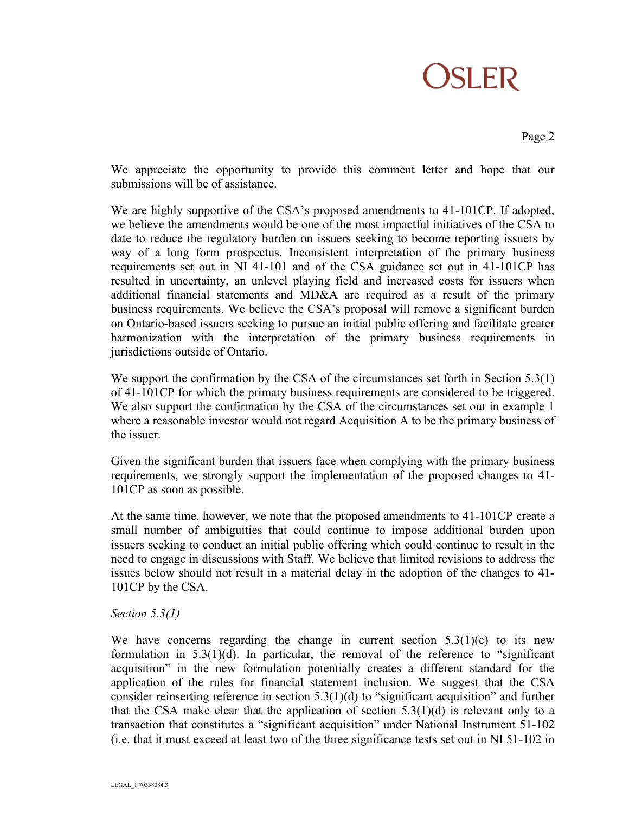## **OSLER**

Page 2

We appreciate the opportunity to provide this comment letter and hope that our submissions will be of assistance.

We are highly supportive of the CSA's proposed amendments to 41-101CP. If adopted, we believe the amendments would be one of the most impactful initiatives of the CSA to date to reduce the regulatory burden on issuers seeking to become reporting issuers by way of a long form prospectus. Inconsistent interpretation of the primary business requirements set out in NI 41-101 and of the CSA guidance set out in 41-101CP has resulted in uncertainty, an unlevel playing field and increased costs for issuers when additional financial statements and MD&A are required as a result of the primary business requirements. We believe the CSA's proposal will remove a significant burden on Ontario-based issuers seeking to pursue an initial public offering and facilitate greater harmonization with the interpretation of the primary business requirements in jurisdictions outside of Ontario.

We support the confirmation by the CSA of the circumstances set forth in Section 5.3(1) of 41-101CP for which the primary business requirements are considered to be triggered. We also support the confirmation by the CSA of the circumstances set out in example 1 where a reasonable investor would not regard Acquisition A to be the primary business of the issuer.

Given the significant burden that issuers face when complying with the primary business requirements, we strongly support the implementation of the proposed changes to 41- 101CP as soon as possible.

At the same time, however, we note that the proposed amendments to 41-101CP create a small number of ambiguities that could continue to impose additional burden upon issuers seeking to conduct an initial public offering which could continue to result in the need to engage in discussions with Staff. We believe that limited revisions to address the issues below should not result in a material delay in the adoption of the changes to 41- 101CP by the CSA.

### *Section 5.3(1)*

We have concerns regarding the change in current section  $5.3(1)(c)$  to its new formulation in 5.3(1)(d). In particular, the removal of the reference to "significant acquisition" in the new formulation potentially creates a different standard for the application of the rules for financial statement inclusion. We suggest that the CSA consider reinserting reference in section 5.3(1)(d) to "significant acquisition" and further that the CSA make clear that the application of section  $5.3(1)(d)$  is relevant only to a transaction that constitutes a "significant acquisition" under National Instrument 51-102 (i.e. that it must exceed at least two of the three significance tests set out in NI 51-102 in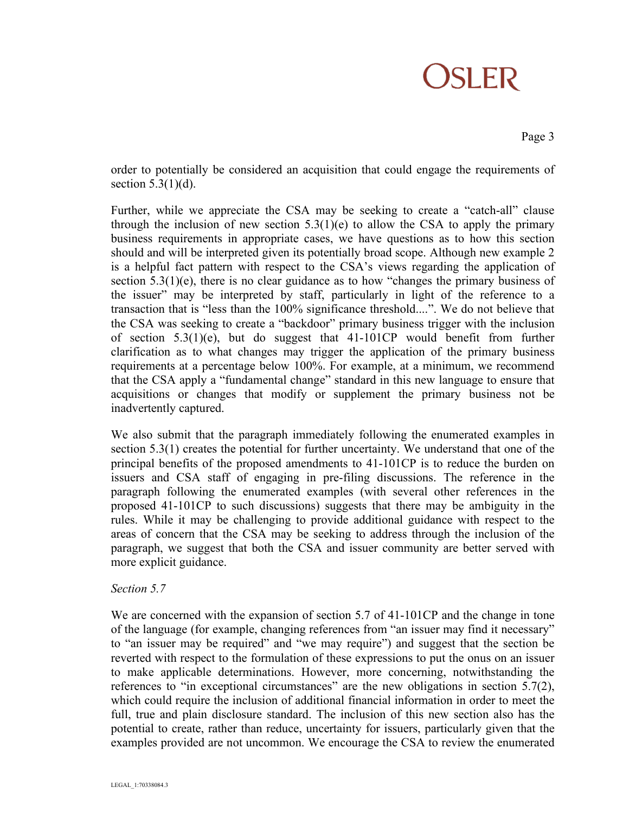### **OSLER**

Page 3

order to potentially be considered an acquisition that could engage the requirements of section  $5.3(1)(d)$ .

Further, while we appreciate the CSA may be seeking to create a "catch-all" clause through the inclusion of new section  $5.3(1)(e)$  to allow the CSA to apply the primary business requirements in appropriate cases, we have questions as to how this section should and will be interpreted given its potentially broad scope. Although new example 2 is a helpful fact pattern with respect to the CSA's views regarding the application of section 5.3(1)(e), there is no clear guidance as to how "changes the primary business of the issuer" may be interpreted by staff, particularly in light of the reference to a transaction that is "less than the 100% significance threshold....". We do not believe that the CSA was seeking to create a "backdoor" primary business trigger with the inclusion of section  $5.3(1)(e)$ , but do suggest that  $41-101CP$  would benefit from further clarification as to what changes may trigger the application of the primary business requirements at a percentage below 100%. For example, at a minimum, we recommend that the CSA apply a "fundamental change" standard in this new language to ensure that acquisitions or changes that modify or supplement the primary business not be inadvertently captured.

We also submit that the paragraph immediately following the enumerated examples in section 5.3(1) creates the potential for further uncertainty. We understand that one of the principal benefits of the proposed amendments to 41-101CP is to reduce the burden on issuers and CSA staff of engaging in pre-filing discussions. The reference in the paragraph following the enumerated examples (with several other references in the proposed 41-101CP to such discussions) suggests that there may be ambiguity in the rules. While it may be challenging to provide additional guidance with respect to the areas of concern that the CSA may be seeking to address through the inclusion of the paragraph, we suggest that both the CSA and issuer community are better served with more explicit guidance.

### *Section 5.7*

We are concerned with the expansion of section 5.7 of 41-101CP and the change in tone of the language (for example, changing references from "an issuer may find it necessary" to "an issuer may be required" and "we may require") and suggest that the section be reverted with respect to the formulation of these expressions to put the onus on an issuer to make applicable determinations. However, more concerning, notwithstanding the references to "in exceptional circumstances" are the new obligations in section 5.7(2), which could require the inclusion of additional financial information in order to meet the full, true and plain disclosure standard. The inclusion of this new section also has the potential to create, rather than reduce, uncertainty for issuers, particularly given that the examples provided are not uncommon. We encourage the CSA to review the enumerated